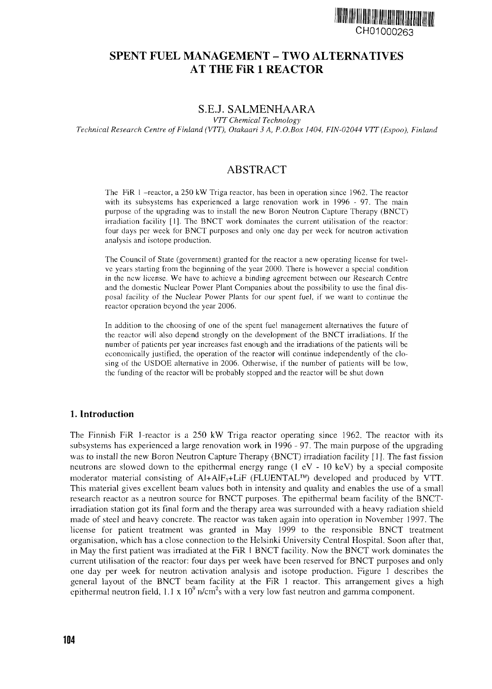

# **SPENT FUEL MANAGEMENT - TWO ALTERNATIVES AT THE FiR 1 REACTOR**

## S.E.J. SALMENHAARA

*VTT Chemical Technology Technical Research Centre of Finland (VTT), Otakaari 3 A, P.O.Box 1404, FIN-02044 VTT(Espoo), Finland*

## ABSTRACT

The FiR 1 -reactor, a 250 kW Triga reactor, has been in operation since 1962. The reactor with its subsystems has experienced a large renovation work in 1996 - 97. The main purpose of the upgrading was to install the new Boron Neutron Capture Therapy (BNCT) irradiation facility [1]. The BNCT work dominates the current utilisation of the reactor: four days per week for BNCT purposes and only one day per week for neutron activation analysis and isotope production.

The Council of State (government) granted for the reactor a new operating license for twelve years starting from the beginning of the year 2000. There is however a special condition in the new license. We have to achieve a binding agreement between our Research Centre and the domestic Nuclear Power Plant Companies about the possibility to use the final disposal facility of the Nuclear Power Plants for our spent fuel, if we want to continue the reactor operation beyond the year 2006.

In addition to the choosing of one of the spent fuel management alternatives the future of the reactor will also depend strongly on the development of the BNCT irradiations. If the number of patients per year increases fast enough and the irradiations of the patients will be economically justified, the operation of the reactor will continue independently of the closing of the USDOE alternative in 2006. Otherwise, if the number of patients will be low, the funding of the reactor will be probably stopped and the reactor will be shut down

#### 1. Introduction

The Finnish FiR 1-reactor is a 250 kW Triga reactor operating since 1962. The reactor with its subsystems has experienced a large renovation work in 1996 - 97. The main purpose of the upgrading was to install the new Boron Neutron Capture Therapy (BNCT) irradiation facility [1]. The fast fission neutrons are slowed down to the epithermal energy range (1 eV - 10 keV) by a special composite moderator material consisting of Al+AlF3+LiF (FLUENTAL™) developed and produced by VTT. This material gives excellent beam values both in intensity and quality and enables the use of a small research reactor as a neutron source for BNCT purposes. The epithermal beam facility of the BNCTirradiation station got its final form and the therapy area was surrounded with a heavy radiation shield made of steel and heavy concrete. The reactor was taken again into operation in November 1997. The license for patient treatment was granted in May 1999 to the responsible BNCT treatment organisation, which has a close connection to the Helsinki University Central Hospital. Soon after that, in May the first patient was irradiated at the FiR 1 BNCT facility. Now the BNCT work dominates the current utilisation of the reactor: four days per week have been reserved for BNCT purposes and only one day per week for neutron activation analysis and isotope production. Figure 1 describes the general layout of the BNCT beam facility at the FiR 1 reactor. This arrangement gives a high epithermal neutron field,  $1.1 \times 10^9$  n/cm<sup>2</sup>s with a very low fast neutron and gamma component.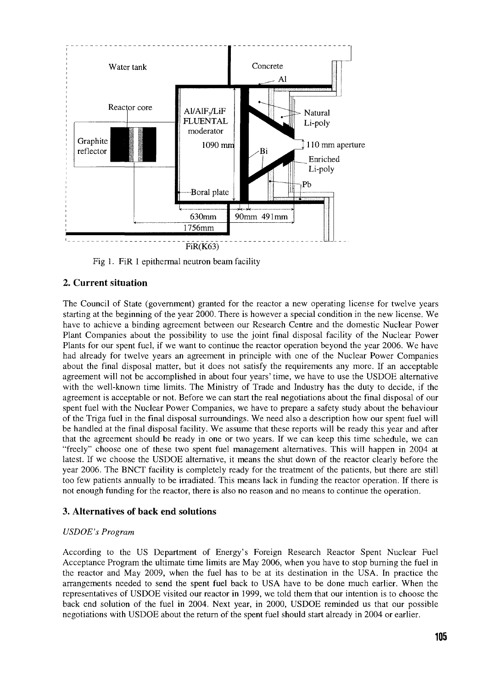

Fig 1. FiR 1 epithermal neutron beam facility

## 2. Current situation

The Council of State (government) granted for the reactor a new operating license for twelve years starting at the beginning of the year 2000. There is however a special condition in the new license. We have to achieve a binding agreement between our Research Centre and the domestic Nuclear Power Plant Companies about the possibility to use the joint final disposal facility of the Nuclear Power Plants for our spent fuel, if we want to continue the reactor operation beyond the year 2006. We have had already for twelve years an agreement in principle with one of the Nuclear Power Companies about the final disposal matter, but it does not satisfy the requirements any more. If an acceptable agreement will not be accomplished in about four years' time, we have to use the USDOE alternative with the well-known time limits. The Ministry of Trade and Industry has the duty to decide, if the agreement is acceptable or not. Before we can start the real negotiations about the final disposal of our spent fuel with the Nuclear Power Companies, we have to prepare a safety study about the behaviour of the Triga fuel in the final disposal surroundings. We need also a description how our spent fuel will be handled at the final disposal facility. We assume that these reports will be ready this year and after that the agreement should be ready in one or two years. If we can keep this time schedule, we can "freely" choose one of these two spent fuel management alternatives. This will happen in 2004 at latest. If we choose the USDOE alternative, it means the shut down of the reactor clearly before the year 2006. The BNCT facility is completely ready for the treatment of the patients, but there are still too few patients annually to be irradiated. This means lack in funding the reactor operation. If there is not enough funding for the reactor, there is also no reason and no means to continue the operation.

## **3. Alternatives of back end solutions**

#### *USDOE's Program*

According to the US Department of Energy's Foreign Research Reactor Spent Nuclear Fuel Acceptance Program the ultimate time limits are May 2006, when you have to stop burning the fuel in the reactor and May 2009, when the fuel has to be at its destination in the USA. In practice the arrangements needed to send the spent fuel back to USA have to be done much earlier. When the representatives of USDOE visited our reactor in 1999, we told them that our intention is to choose the back end solution of the fuel in 2004. Next year, in 2000, USDOE reminded us that our possible negotiations with USDOE about the return of the spent fuel should start already in 2004 or earlier.